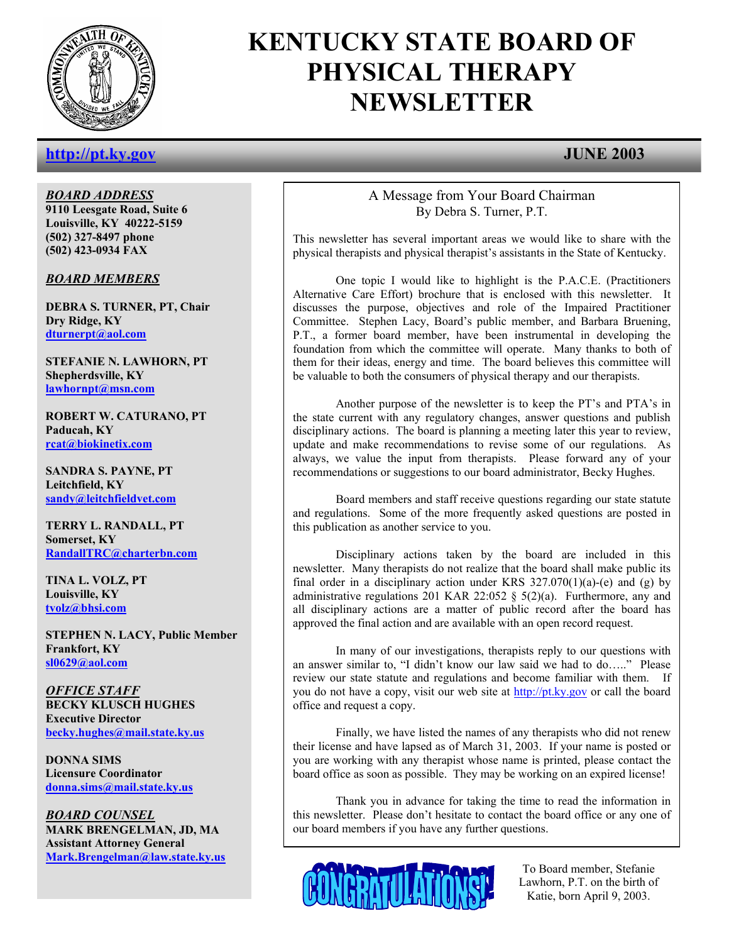

# **KENTUCKY STATE BOARD OF PHYSICAL THERAPY NEWSLETTER**

## **http://pt.ky.gov JUNE 2003**

*BOARD ADDRESS* **9110 Leesgate Road, Suite 6 Louisville, KY 40222-5159 (502) 327-8497 phone (502) 423-0934 FAX** 

*BOARD MEMBERS*

**DEBRA S. TURNER, PT, Chair Dry Ridge, KY dturnerpt@aol.com**

**STEFANIE N. LAWHORN, PT Shepherdsville, KY lawhornpt@msn.com**

**ROBERT W. CATURANO, PT Paducah, KY rcat@biokinetix.com**

**SANDRA S. PAYNE, PT Leitchfield, KY sandy@leitchfieldvet.com**

**TERRY L. RANDALL, PT Somerset, KY RandallTRC@charterbn.com**

**TINA L. VOLZ, PT Louisville, KY tvolz@bhsi.com**

**STEPHEN N. LACY, Public Member Frankfort, KY sl0629@aol.com**

*OFFICE STAFF* **BECKY KLUSCH HUGHES Executive Director becky.hughes@mail.state.ky.us**

**DONNA SIMS Licensure Coordinator donna.sims@mail.state.ky.us**

*BOARD COUNSEL* **MARK BRENGELMAN, JD, MA Assistant Attorney General Mark.Brengelman@law.state.ky.us**

### A Message from Your Board Chairman By Debra S. Turner, P.T.

 This newsletter has several important areas we would like to share with the physical therapists and physical therapist's assistants in the State of Kentucky.

 One topic I would like to highlight is the P.A.C.E. (Practitioners Alternative Care Effort) brochure that is enclosed with this newsletter. It discusses the purpose, objectives and role of the Impaired Practitioner Committee. Stephen Lacy, Board's public member, and Barbara Bruening, P.T., a former board member, have been instrumental in developing the foundation from which the committee will operate. Many thanks to both of them for their ideas, energy and time. The board believes this committee will be valuable to both the consumers of physical therapy and our therapists.

 Another purpose of the newsletter is to keep the PT's and PTA's in the state current with any regulatory changes, answer questions and publish disciplinary actions. The board is planning a meeting later this year to review, update and make recommendations to revise some of our regulations. As always, we value the input from therapists. Please forward any of your recommendations or suggestions to our board administrator, Becky Hughes.

 Board members and staff receive questions regarding our state statute and regulations. Some of the more frequently asked questions are posted in this publication as another service to you.

 Disciplinary actions taken by the board are included in this newsletter. Many therapists do not realize that the board shall make public its final order in a disciplinary action under KRS  $327.070(1)(a)$ -(e) and (g) by administrative regulations 201 KAR 22:052 § 5(2)(a). Furthermore, any and all disciplinary actions are a matter of public record after the board has approved the final action and are available with an open record request.

 In many of our investigations, therapists reply to our questions with an answer similar to, "I didn't know our law said we had to do….." Please review our state statute and regulations and become familiar with them. If you do not have a copy, visit our web site at http://pt.ky.gov or call the board office and request a copy.

 Finally, we have listed the names of any therapists who did not renew their license and have lapsed as of March 31, 2003. If your name is posted or you are working with any therapist whose name is printed, please contact the board office as soon as possible. They may be working on an expired license!

Thank you in advance for taking the time to read the information in this newsletter. Please don't hesitate to contact the board office or any one of our board members if you have any further questions.



To Board member, Stefanie Lawhorn, P.T. on the birth of Katie, born April 9, 2003.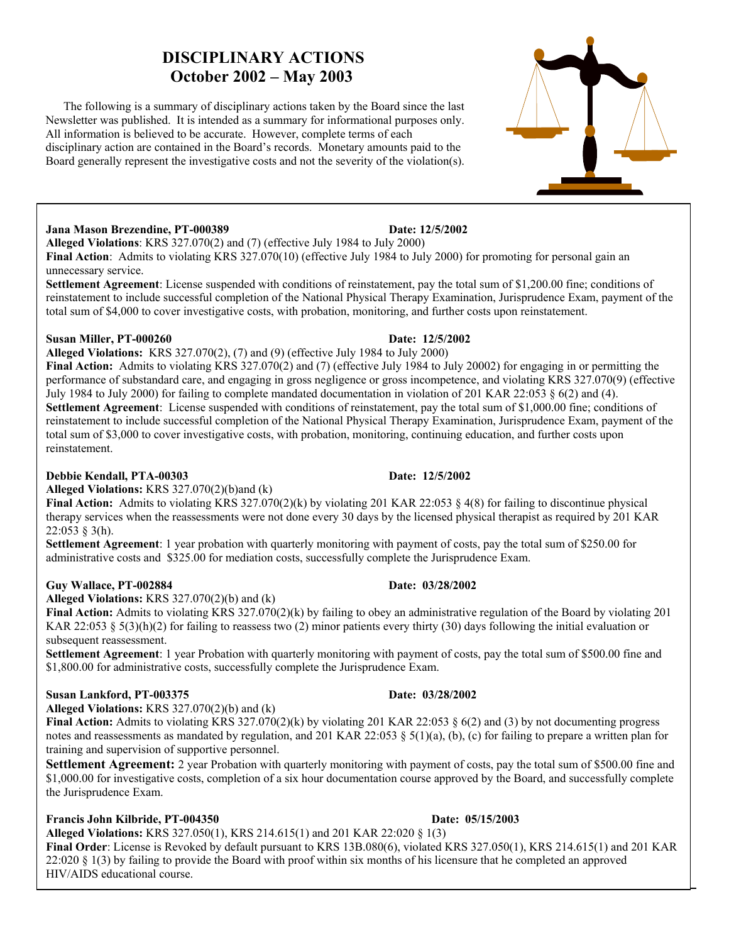# **DISCIPLINARY ACTIONS October 2002 – May 2003**

 The following is a summary of disciplinary actions taken by the Board since the last Newsletter was published. It is intended as a summary for informational purposes only. All information is believed to be accurate. However, complete terms of each disciplinary action are contained in the Board's records. Monetary amounts paid to the Board generally represent the investigative costs and not the severity of the violation(s).

### **Jana Mason Brezendine, PT-000389 Date: 12/5/2002**

**Alleged Violations**: KRS 327.070(2) and (7) (effective July 1984 to July 2000)

**Final Action**: Admits to violating KRS 327.070(10) (effective July 1984 to July 2000) for promoting for personal gain an unnecessary service.

**Settlement Agreement**: License suspended with conditions of reinstatement, pay the total sum of \$1,200.00 fine; conditions of reinstatement to include successful completion of the National Physical Therapy Examination, Jurisprudence Exam, payment of the total sum of \$4,000 to cover investigative costs, with probation, monitoring, and further costs upon reinstatement.

### **Susan Miller, PT-000260 Date: 12/5/2002**

**Alleged Violations:** KRS 327.070(2), (7) and (9) (effective July 1984 to July 2000)

**Final Action:** Admits to violating KRS 327.070(2) and (7) (effective July 1984 to July 20002) for engaging in or permitting the performance of substandard care, and engaging in gross negligence or gross incompetence, and violating KRS 327.070(9) (effective July 1984 to July 2000) for failing to complete mandated documentation in violation of 201 KAR 22:053 § 6(2) and (4). **Settlement Agreement**: License suspended with conditions of reinstatement, pay the total sum of \$1,000.00 fine; conditions of reinstatement to include successful completion of the National Physical Therapy Examination, Jurisprudence Exam, payment of the total sum of \$3,000 to cover investigative costs, with probation, monitoring, continuing education, and further costs upon reinstatement.

### **Debbie Kendall, PTA-00303 Date: 12/5/2002**

**Alleged Violations:** KRS 327.070(2)(b)and (k)

**Final Action:** Admits to violating KRS 327.070(2)(k) by violating 201 KAR 22:053 § 4(8) for failing to discontinue physical therapy services when the reassessments were not done every 30 days by the licensed physical therapist as required by 201 KAR 22:053 § 3(h).

**Settlement Agreement**: 1 year probation with quarterly monitoring with payment of costs, pay the total sum of \$250.00 for administrative costs and \$325.00 for mediation costs, successfully complete the Jurisprudence Exam.

### **Guy Wallace, PT-002884 Date: 03/28/2002**

**Alleged Violations:** KRS 327.070(2)(b) and (k)

**Final Action:** Admits to violating KRS 327.070(2)(k) by failing to obey an administrative regulation of the Board by violating 201 KAR 22:053 § 5(3)(h)(2) for failing to reassess two (2) minor patients every thirty (30) days following the initial evaluation or subsequent reassessment.

**Settlement Agreement**: 1 year Probation with quarterly monitoring with payment of costs, pay the total sum of \$500.00 fine and \$1,800.00 for administrative costs, successfully complete the Jurisprudence Exam.

### **Susan Lankford, PT-003375 Date: 03/28/2002**

**Alleged Violations:** KRS 327.070(2)(b) and (k)

**Final Action:** Admits to violating KRS 327.070(2)(k) by violating 201 KAR 22:053 § 6(2) and (3) by not documenting progress notes and reassessments as mandated by regulation, and 201 KAR 22:053  $\S$  5(1)(a), (b), (c) for failing to prepare a written plan for training and supervision of supportive personnel.

**Settlement Agreement:** 2 year Probation with quarterly monitoring with payment of costs, pay the total sum of \$500.00 fine and \$1,000.00 for investigative costs, completion of a six hour documentation course approved by the Board, and successfully complete the Jurisprudence Exam.

### **Francis John Kilbride, PT-004350 Date: 05/15/2003**

**Alleged Violations:** KRS 327.050(1), KRS 214.615(1) and 201 KAR 22:020 § 1(3)

**Final Order**: License is Revoked by default pursuant to KRS 13B.080(6), violated KRS 327.050(1), KRS 214.615(1) and 201 KAR  $22:020 \& 1(3)$  by failing to provide the Board with proof within six months of his licensure that he completed an approved HIV/AIDS educational course.



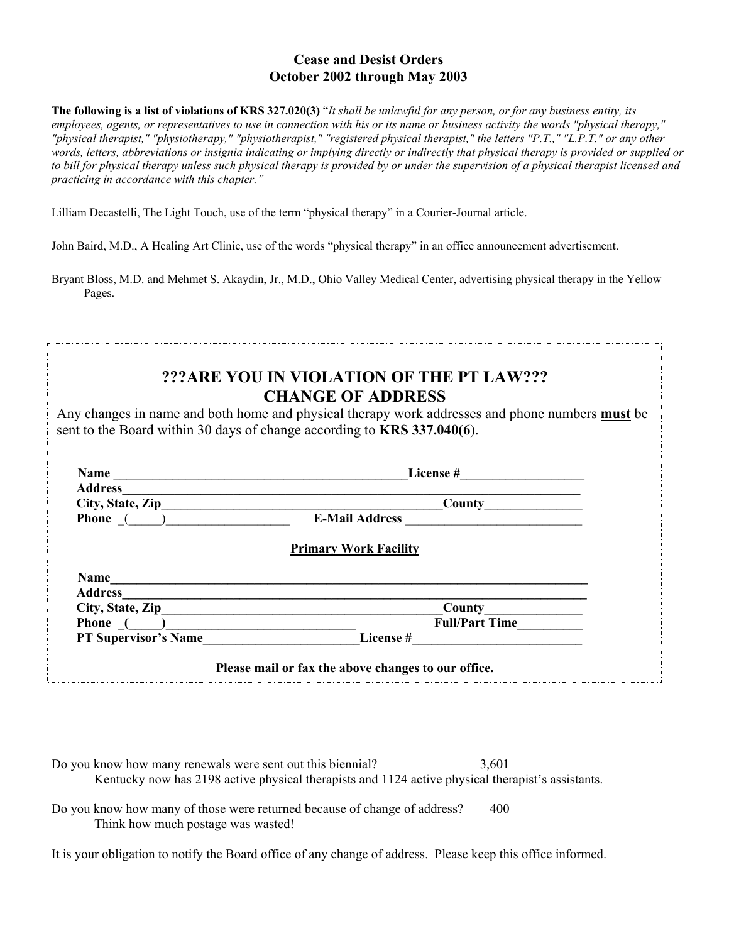### **Cease and Desist Orders October 2002 through May 2003**

**The following is a list of violations of KRS 327.020(3)** "*It shall be unlawful for any person, or for any business entity, its employees, agents, or representatives to use in connection with his or its name or business activity the words "physical therapy," "physical therapist," "physiotherapy," "physiotherapist," "registered physical therapist," the letters "P.T.," "L.P.T." or any other words, letters, abbreviations or insignia indicating or implying directly or indirectly that physical therapy is provided or supplied or to bill for physical therapy unless such physical therapy is provided by or under the supervision of a physical therapist licensed and practicing in accordance with this chapter."* 

Lilliam Decastelli, The Light Touch, use of the term "physical therapy" in a Courier-Journal article.

John Baird, M.D., A Healing Art Clinic, use of the words "physical therapy" in an office announcement advertisement.

Bryant Bloss, M.D. and Mehmet S. Akaydin, Jr., M.D., Ohio Valley Medical Center, advertising physical therapy in the Yellow Pages.

|               | ???ARE YOU IN VIOLATION OF THE PT LAW???<br><b>CHANGE OF ADDRESS</b><br>Any changes in name and both home and physical therapy work addresses and phone numbers <b>must</b> be<br>sent to the Board within 30 days of change according to KRS 337.040(6). |
|---------------|-----------------------------------------------------------------------------------------------------------------------------------------------------------------------------------------------------------------------------------------------------------|
|               | License # $\qquad \qquad$                                                                                                                                                                                                                                 |
|               | Address 2008 and 2008 and 2008 and 2008 and 2008 and 2008 and 2008 and 2008 and 2008 and 2008 and 2008 and 2008 and 2008 and 2008 and 2008 and 2008 and 2008 and 2008 and 2008 and 2008 and 2008 and 2008 and 2008 and 2008 an                            |
|               | <b>County</b> County                                                                                                                                                                                                                                      |
|               | Phone ( ) E-Mail Address                                                                                                                                                                                                                                  |
|               | <b>Primary Work Facility</b>                                                                                                                                                                                                                              |
| Name          |                                                                                                                                                                                                                                                           |
|               |                                                                                                                                                                                                                                                           |
|               |                                                                                                                                                                                                                                                           |
| Phone $($ $)$ | <b>Full/Part Time</b>                                                                                                                                                                                                                                     |
|               | PT Supervisor's Name License #                                                                                                                                                                                                                            |
|               | Please mail or fax the above changes to our office.                                                                                                                                                                                                       |

Do you know how many renewals were sent out this biennial?  $3,601$ Kentucky now has 2198 active physical therapists and 1124 active physical therapist's assistants.

Do you know how many of those were returned because of change of address? 400 Think how much postage was wasted!

It is your obligation to notify the Board office of any change of address. Please keep this office informed.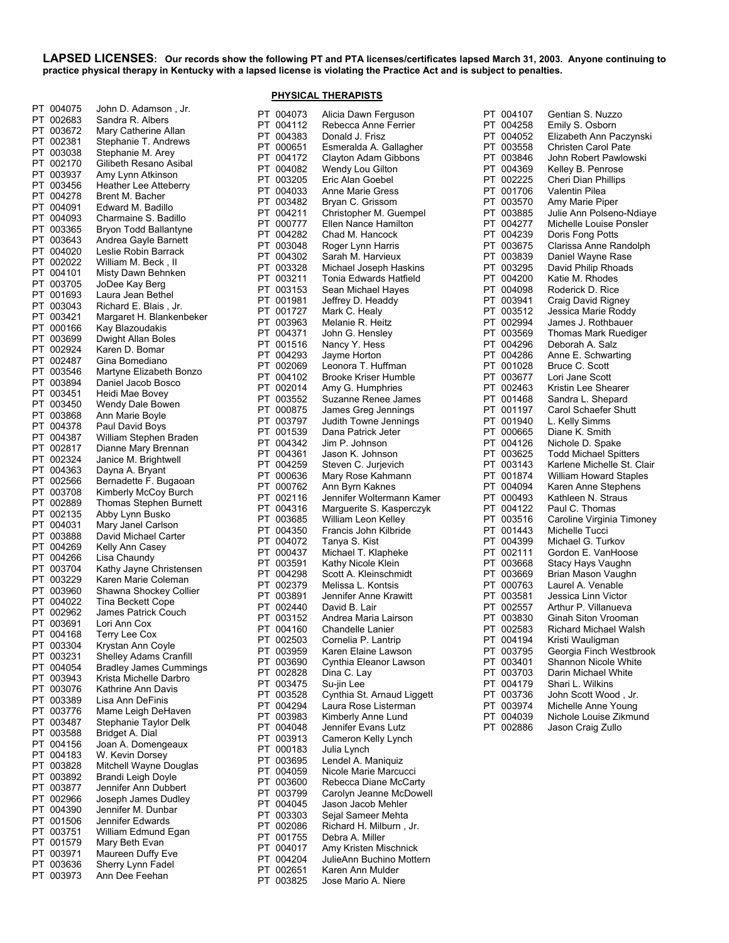**LAPSED LICENSES: Our records show the following PT and PTA licenses/certificates lapsed March 31, 2003. Anyone continuing to practice physical therapy in Kentucky with a lapsed license is violating the Practice Act and is subject to penalties.** 

**PHYSICAL THERAPISTS**

| PT       | 004075           | John D. Adamson, Jr.                            |
|----------|------------------|-------------------------------------------------|
| PT       | 002683           | Sandra R. Albers                                |
| PT       | 003672           | Mary Catherine Allan                            |
| PT       | 002381           | Stephanie T. Andrews                            |
| PT       | 003038           | Stephanie M. Arey                               |
| PT       | 002170           | Gilibeth Resano Asibal                          |
| PT<br>PT | 003937           | Amy Lynn Atkinson                               |
| PT       | 003456<br>004278 | <b>Heather Lee Atteberry</b><br>Brent M. Bacher |
| РT       | 004091           | Edward M. Badillo                               |
| PT       | 004093           | Charmaine S. Badillo                            |
| PT       | 003365           | Bryon Todd Ballantyne                           |
| PT       | 003643           | Andrea Gayle Barnett                            |
| PT       | 004020           | Leslie Robin Barrack                            |
| PT       | 002022           | William M. Beck, II                             |
| РT       | 004101           | Misty Dawn Behnken                              |
| PT       | 003705           | JoDee Kay Berg                                  |
| РT       | 001693           | Laura Jean Bethel                               |
| PT       | 003043           | Richard E. Blais, Jr.                           |
| PT<br>PT | 003421<br>000166 | Margaret H. Blankenbeker<br>Kay Blazoudakis     |
| PT       | 003699           | Dwight Allan Boles                              |
| PT       | 002924           | Karen D. Bomar                                  |
| PT       | 002487           | Gina Bomediano                                  |
| PT       | 003546           | Martyne Elizabeth Bonzo                         |
| PT       | 003894           | Daniel Jacob Bosco                              |
| PT       | 003451           | Heidi Mae Bovey                                 |
| PT       | 003450           | Wendy Dale Bowen                                |
| PT       | 003868           | Ann Marie Boyle                                 |
| PT       | 004378           | Paul David Boys                                 |
| РT       | 004387           | William Stephen Braden                          |
| PT       | 002817           | Dianne Mary Brennan                             |
| PT       | 002324           | Janice M. Brightwell                            |
| PT<br>PT | 004363<br>002566 | Dayna A. Bryant<br>Bernadette F. Bugaoan        |
| PT       | 003708           | Kimberly McCoy Burch                            |
| PT       | 002889           | Thomas Stephen Burnett                          |
| PT       | 002135           | Abby Lynn Busko                                 |
| PT       | 004031           | Mary Janel Carlson                              |
| PT       | 003888           | David Michael Carter                            |
| PT       | 004269           | Kelly Ann Casey                                 |
| PT       | 004266           | Lisa Chaundy                                    |
| PT       | 003704           | Kathy Jayne Christensen                         |
| PT       | 003229           | Karen Marie Coleman                             |
| PT       | 003960           | Shawna Shockey Collier                          |
| PT<br>PT | 004022<br>002962 | Tina Beckett Cope<br>James Patrick Couch        |
| PT       | 003691           | Lori Ann Cox                                    |
| PT       | 004168           | Terry Lee Cox                                   |
| PT       | 003304           | Krystan Ann Coyle                               |
| PT       | 003231           | Shelley Adams Cranfill                          |
| PT       | 004054           | <b>Bradley James Cummings</b>                   |
| PT       | 003943           | Krista Michelle Darbro                          |
| PT       | 003076           | Kathrine Ann Davis                              |
| PT       | 003389           | Lisa Ann DeFinis                                |
| PT       | 003776           | Mame Leigh DeHaven                              |
| PT       | 003487           | Stephanie Taylor Delk                           |
| PT       | 003588           | Bridget A. Dial                                 |
| PT<br>PT | 004156<br>004183 | Joan A. Domengeaux<br>W. Kevin Dorsey           |
| PT       | 003828           | Mitchell Wayne Douglas                          |
| PT       | 003892           | Brandi Leigh Doyle                              |
| PT       | 003877           | Jennifer Ann Dubbert                            |
| PT       | 002966           | Joseph James Dudley                             |
| PT       | 004390           | Jennifer M. Dunbar                              |
| PT       | 001506           | Jennifer Edwards                                |
| PT       | 003751           | William Edmund Egan                             |
| PT       | 001579           | Mary Beth Evan                                  |
| PT       | 003971           | Maureen Duffy Eve                               |
| PT       | 003636<br>003973 | Sherry Lynn Fadel<br>Ann Dee Feehan             |
| PT       |                  |                                                 |

| PT | 004073 | Alicia Dawn Ferguson       |
|----|--------|----------------------------|
|    |        | Rebecca Anne Ferrier       |
| РT | 004112 |                            |
| PT | 004383 | Donald J. Frisz            |
| PT | 000651 | Esmeralda A. Gallagher     |
| PT | 004172 | Clayton Adam Gibbons       |
| PТ | 004082 | Wendy Lou Gilton           |
| PT | 003205 | Eric Alan Goebel           |
| PT | 004033 | Anne Marie Gress           |
|    |        |                            |
| PT | 003482 | Bryan C. Grissom           |
| PT | 004211 | Christopher M. Guempel     |
| PT | 000777 | Ellen Nance Hamilton       |
| PT | 004282 | Chad M. Hancock            |
| PT | 003048 | Roger Lynn Harris          |
| PT | 004302 | Sarah M. Harvieux          |
|    |        |                            |
| PT | 003328 | Michael Joseph Haskins     |
| PT | 003211 | Tonia Edwards Hatfield     |
| РT | 003153 | Sean Michael Hayes         |
| PT | 001981 | Jeffrey D. Headdy          |
| PТ | 001727 | Mark C. Healy              |
| PT | 003963 | Melanie R. Heitz           |
| PТ | 004371 | John G. Hensley            |
|    |        |                            |
| PT | 001516 | Nancy Y. Hess              |
| PT | 004293 | Jayme Horton               |
| PT | 002069 | Leonora T. Huffman         |
| PT | 004102 | Brooke Kriser Humble       |
| PT | 002014 | Amy G. Humphries           |
| PT | 003552 | Suzanne Renee James        |
| PT | 000875 | James Greg Jennings        |
|    |        |                            |
| PT | 003797 | Judith Towne Jennings      |
| PT | 001539 | Dana Patrick Jeter         |
| PT | 004342 | Jim P. Johnson             |
| PT | 004361 | Jason K. Johnson           |
| PT | 004259 | Steven C. Jurjevich        |
| PТ | 000636 | Mary Rose Kahmann          |
| PT |        | Ann Byrn Kaknes            |
|    | 000762 |                            |
| PТ | 002116 | Jennifer Woltermann Kamer  |
| PT | 004316 | Marguerite S. Kasperczyk   |
| PT | 003685 | William Leon Kelley        |
| PT | 004350 | Francis John Kilbride      |
| PT | 004072 | Tanya S. Kist              |
| PT | 000437 | Michael T. Klapheke        |
| PT | 003591 | Kathy Nicole Klein         |
|    |        |                            |
| PT | 004298 | Scott A. Kleinschmidt      |
| PT | 002379 | Melissa L. Kontsis         |
| PТ | 003891 | Jennifer Anne Krawitt      |
| PT | 002440 | David B. Lair              |
| PT | 003152 | Andrea Maria Lairson       |
| PT | 004160 | Chandelle Lanier           |
| PT | 002503 | Cornelia P. Lantrip        |
|    |        |                            |
| PT | 003959 | Karen Elaine Lawson        |
| PT | 003690 | Cynthia Eleanor Lawson     |
| PT | 002828 | Dina C. Lay                |
| PT | 003475 | Su-jin Lee                 |
| PT | 003528 | Cynthia St. Arnaud Liggett |
| PT | 004294 | Laura Rose Listerman       |
| PT | 003983 | Kimberly Anne Lund         |
| PT |        | Jennifer Evans Lutz        |
|    | 004048 |                            |
| PT | 003913 | Cameron Kelly Lynch        |
| РT | 000183 | Julia Lynch                |
| PT | 003695 | Lendel A. Maniquiz         |
| PT | 004059 | Nicole Marie Marcucci      |
| PТ | 003600 | Rebecca Diane McCarty      |
| РT | 003799 | Carolyn Jeanne McDowell    |
| PТ | 004045 | Jason Jacob Mehler         |
|    |        |                            |
| PT | 003303 | Sejal Sameer Mehta         |
| PТ | 002086 | Richard H. Milburn, Jr.    |
| PT | 001755 | Debra A. Miller            |
| PT | 004017 | Amy Kristen Mischnick      |
| PT | 004204 | JulieAnn Buchino Mottern   |
| PT | 002651 | Karen Ann Mulder           |
| PT | 003825 | Jose Mario A. Niere        |
|    |        |                            |

| РT       | 004107           | Gentian S. Nuzzo                            |
|----------|------------------|---------------------------------------------|
| PT       | 004258           | Emily S. Osborn                             |
| PT       | 004052           | Elizabeth Ann Paczynski                     |
| PT       | 003558           | <b>Christen Carol Pate</b>                  |
| PT       | 003846           | John Robert Pawlowski                       |
| PT       | 004369           | Kelley B. Penrose                           |
| PT       | 002225           | Cheri Dian Phillips                         |
| PT       | 001706           | Valentin Pilea                              |
| PT       | 003570           | Amy Marie Piper                             |
| PT       | 003885           | Julie Ann Polseno-Ndiaye                    |
| PT       | 004277           | Michelle Louise Ponsler                     |
| PT       | 004239           | Doris Fong Potts                            |
| PT       | 003675           | Clarissa Anne Randolph                      |
| PT       | 003839           | Daniel Wayne Rase                           |
| PT       | 003295           | David Philip Rhoads                         |
| PT       | 004200           | Katie M. Rhodes                             |
| PT       | 004098           | Roderick D. Rice                            |
| PT       | 003941           | Craig David Rigney                          |
| PT       | 003512           | Jessica Marie Roddy                         |
| PT       | 002994           | James J. Rothbauer                          |
| PТ       | 003569           | Thomas Mark Ruediger                        |
| PT       | 004296           | Deborah A. Salz                             |
| PT       | 004286           | Anne E. Schwarting                          |
| PT       | 001028           | Bruce C. Scott                              |
| PT       | 003677           | Lori Jane Scott                             |
| PT       | 002463           | Kristin Lee Shearer                         |
| PT       | 001468           | Sandra L. Shepard                           |
| PT       | 001197           | Carol Schaefer Shutt                        |
| PT       | 001940           | L. Kelly Simms                              |
| PT       | 000665           | Diane K. Smith                              |
| PT       | 004126           | Nichole D. Spake                            |
| PT       | 003625           | <b>Todd Michael Spitters</b>                |
| PT       | 003143           | Karlene Michelle St. Clair                  |
| PТ       | 001874           | William Howard Staples                      |
| PT       | 004094           | Karen Anne Stephens                         |
| PТ       | 000493           | Kathleen N. Straus                          |
| PТ       | 004122           | Paul C. Thomas                              |
| PT       | 003516           | Caroline Virginia Timoney                   |
| PT       | 001443           | Michelle Tucci                              |
| PT       | 004399           | Michael G. Turkov                           |
| PT       | 002111           | Gordon E. VanHoose                          |
| PT       | 003668           | Stacy Hays Vaughn                           |
| PT       | 003669           | Brian Mason Vaughn                          |
| PT       | 000763           | Laurel A. Venable                           |
| PT       | 003581           | Jessica Linn Victor                         |
| PT       | 002557           | Arthur P. Villanueva                        |
| PT       | 003830           | Ginah Siton Vrooman                         |
| PT<br>PT | 002583<br>004194 | Richard Michael Walsh                       |
| PT       | 003795           | Kristi Wauligman<br>Georgia Finch Westbrook |
| РT       | 003401           | Shannon Nicole White                        |
| PT       | 003703           | Darin Michael White                         |
| PT       | 004179           | Shari L. Wilkins                            |
| PT       | 003736           | John Scott Wood, Jr.                        |
| PT       | 003974           | Michelle Anne Young                         |
| PT       | 004039           | Nichole Louise Zikmund                      |
| РT       | 002886           | Jason Craig Zullo                           |
|          |                  |                                             |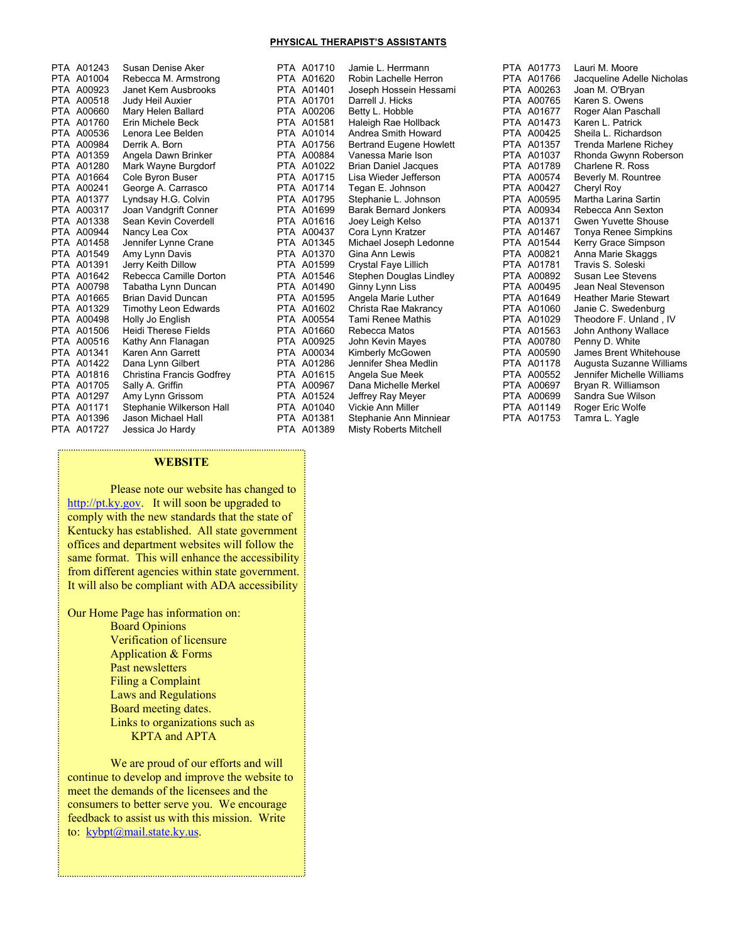### **PHYSICAL THERAPIST'S ASSISTANTS**

| PTA        | A01243     | Susan Denise Aker           |
|------------|------------|-----------------------------|
|            | PTA A01004 | Rebecca M. Armstrong        |
|            | PTA A00923 | Janet Kem Ausbrooks         |
|            | PTA A00518 | Judy Heil Auxier            |
|            | PTA A00660 | Mary Helen Ballard          |
|            | PTA A01760 | Erin Michele Beck           |
|            | PTA A00536 | Lenora Lee Belden           |
|            | PTA A00984 | Derrik A. Born              |
|            | PTA A01359 | Angela Dawn Brinker         |
|            | PTA A01280 | Mark Wayne Burgdorf         |
|            | PTA A01664 | Cole Byron Buser            |
|            | PTA A00241 | George A. Carrasco          |
|            | PTA A01377 | Lyndsay H.G. Colvin         |
|            | PTA A00317 | Joan Vandgrift Conner       |
|            | PTA A01338 | Sean Kevin Coverdell        |
|            | PTA A00944 | Nancy Lea Cox               |
|            | PTA A01458 | Jennifer Lynne Crane        |
|            | PTA A01549 | Amy Lynn Davis              |
|            | PTA A01391 | Jerry Keith Dillow          |
|            | PTA A01642 | Rebecca Camille Dorton      |
|            | PTA A00798 | Tabatha Lynn Duncan         |
|            | PTA A01665 | Brian David Duncan          |
|            | PTA A01329 | Timothy Leon Edwards        |
|            | PTA A00498 | Holly Jo English            |
|            | PTA A01506 | <b>Heidi Therese Fields</b> |
|            | PTA A00516 | Kathy Ann Flanagan          |
|            | PTA A01341 | Karen Ann Garrett           |
|            | PTA A01422 | Dana Lynn Gilbert           |
|            | PTA A01816 | Christina Francis Godfrey   |
|            | PTA A01705 | Sally A. Griffin            |
|            | PTA A01297 | Amy Lynn Grissom            |
|            | PTA A01171 | Stephanie Wilkerson Hall    |
|            | PTA A01396 | Jason Michael Hall          |
| <b>PTA</b> | A01727     | Jessica Jo Hardy            |

PTA A01710 Jamie L. Herrmann<br>PTA A01620 Robin Lachelle Herr PTA A01620 Robin Lachelle Herron<br>PTA A01401 Joseph Hossein Hessa PTA A01401 Joseph Hossein Hessami<br>PTA A01701 Darrell J. Hicks PTA A01701 Darrell J. Hicks<br>PTA A00206 Betty L. Hobble PTA A00206 Betty L. Hobble<br>PTA A01581 Haleigh Rae Ho PTA A01581 Haleigh Rae Hollback<br>PTA A01014 Andrea Smith Howard PTA A01014 Andrea Smith Howard<br>PTA A01756 Bertrand Eugene Howl PTA A01756 Bertrand Eugene Howlett<br>PTA A00884 Vanessa Marie Ison Vanessa Marie Ison PTA A01022 Brian Daniel Jacques<br>PTA A01715 Lisa Wieder Jefferson PTA A01715 Lisa Wieder Jefferson<br>PTA A01714 Tegan E. Johnson PTA A01714 Tegan E. Johnson<br>PTA A01795 Stephanie L. Johns Stephanie L. Johnson PTA A01699 Barak Bernard Jonkers<br>PTA A01616 Joey Leigh Kelso Joey Leigh Kelso PTA A00437 Cora Lynn Kratzer<br>PTA A01345 Michael Joseph Le Michael Joseph Ledonne PTA A01370 Gina Ann Lewis<br>PTA A01599 Crystal Fave Lilli Crystal Faye Lillich PTA A01546 Stephen Douglas Lindley<br>PTA A01490 Ginny Lynn Liss Ginny Lynn Liss PTA A01595 Angela Marie Luther<br>PTA A01602 Christa Rae Makrand Christa Rae Makrancy PTA A00554 Tami Renee Mathis PTA A01660 Rebecca Matos<br>PTA A00925 John Kevin May PTA A00925 John Kevin Mayes<br>PTA A00034 Kimberly McGower Kimberly McGowen PTA A01286 Jennifer Shea Medlin<br>PTA A01615 Angela Sue Meek PTA A01615 Angela Sue Meek<br>PTA A00967 Dana Michelle Mer Dana Michelle Merkel PTA A01524 Jeffrey Ray Meyer<br>PTA A01040 Vickie Ann Miller PTA A01040 Vickie Ann Miller<br>PTA A01381 Stephanie Ann Mi PTA A01381 Stephanie Ann Minniear<br>PTA A01389 Misty Roberts Mitchell Misty Roberts Mitchell

PTA A01773 Lauri M. Moore<br>PTA A01766 Jacqueline Ade PTA A01766 Jacqueline Adelle Nicholas<br>PTA A00263 Joan M. O'Bryan PTA A00263 Joan M. O'Bryan PTA A00765 Karen S. Owens<br>PTA A01677 Roger Alan Pasc Roger Alan Paschall PTA A01473 Karen L. Patrick<br>PTA A00425 Sheila L. Richard PTA A00425 Sheila L. Richardson<br>PTA A01357 Trenda Marlene Rich PTA A01357 Trenda Marlene Richey<br>PTA A01037 Rhonda Gwynn Robers Rhonda Gwynn Roberson PTA A01789 Charlene R. Ross<br>PTA A00574 Beverly M. Rountre Beverly M. Rountree<br>Cheryl Roy PTA A00427<br>PTA A00595 Martha Larina Sartin PTA A00934 Rebecca Ann Sexton<br>PTA A01371 Gwen Yuvette Shouse Gwen Yuvette Shouse PTA A01467 Tonya Renee Simpkins<br>PTA A01544 Kerry Grace Simpson PTA A01544 Kerry Grace Simpson<br>PTA A00821 Anna Marie Skaggs PTA A00821 Anna Marie Skaggs<br>PTA A01781 Travis S. Soleski Travis S. Soleski PTA A00892 Susan Lee Stevens<br>PTA A00495 Jean Neal Stevenso PTA A00495 Jean Neal Stevenson<br>PTA A01649 Heather Marie Stewart PTA A01649 Heather Marie Stewart<br>PTA A01060 Janie C. Swedenburg PTA A01060 Janie C. Swedenburg<br>PTA A01029 Theodore F. Unland, I Theodore F. Unland, IV PTA A01563 John Anthony Wallace<br>PTA A00780 Penny D. White PTA A00780 Penny D. White<br>PTA A00590 James Brent Wh James Brent Whitehouse PTA A01178 Augusta Suzanne Williams<br>PTA A00552 Jennifer Michelle Williams PTA A00552 Jennifer Michelle Williams<br>PTA A00697 Bryan R. Williamson Brvan R. Williamson PTA A00699 Sandra Sue Wilson PTA A01149 Roger Eric Wolfe<br>PTA A01753 Tamra L. Yagle Tamra L. Yagle

### **WEBSITE**

 Please note our website has changed to http://pt.ky.gov. It will soon be upgraded to comply with the new standards that the state of Kentucky has established. All state government offices and department websites will follow the same format. This will enhance the accessibility from different agencies within state government. It will also be compliant with ADA accessibility

Our Home Page has information on:

 Board Opinions Verification of licensure Application & Forms Past newsletters Filing a Complaint Laws and Regulations Board meeting dates. Links to organizations such as KPTA and APTA

 We are proud of our efforts and will continue to develop and improve the website to meet the demands of the licensees and the consumers to better serve you. We encourage feedback to assist us with this mission. Write to: kybpt@mail.state.ky.us.